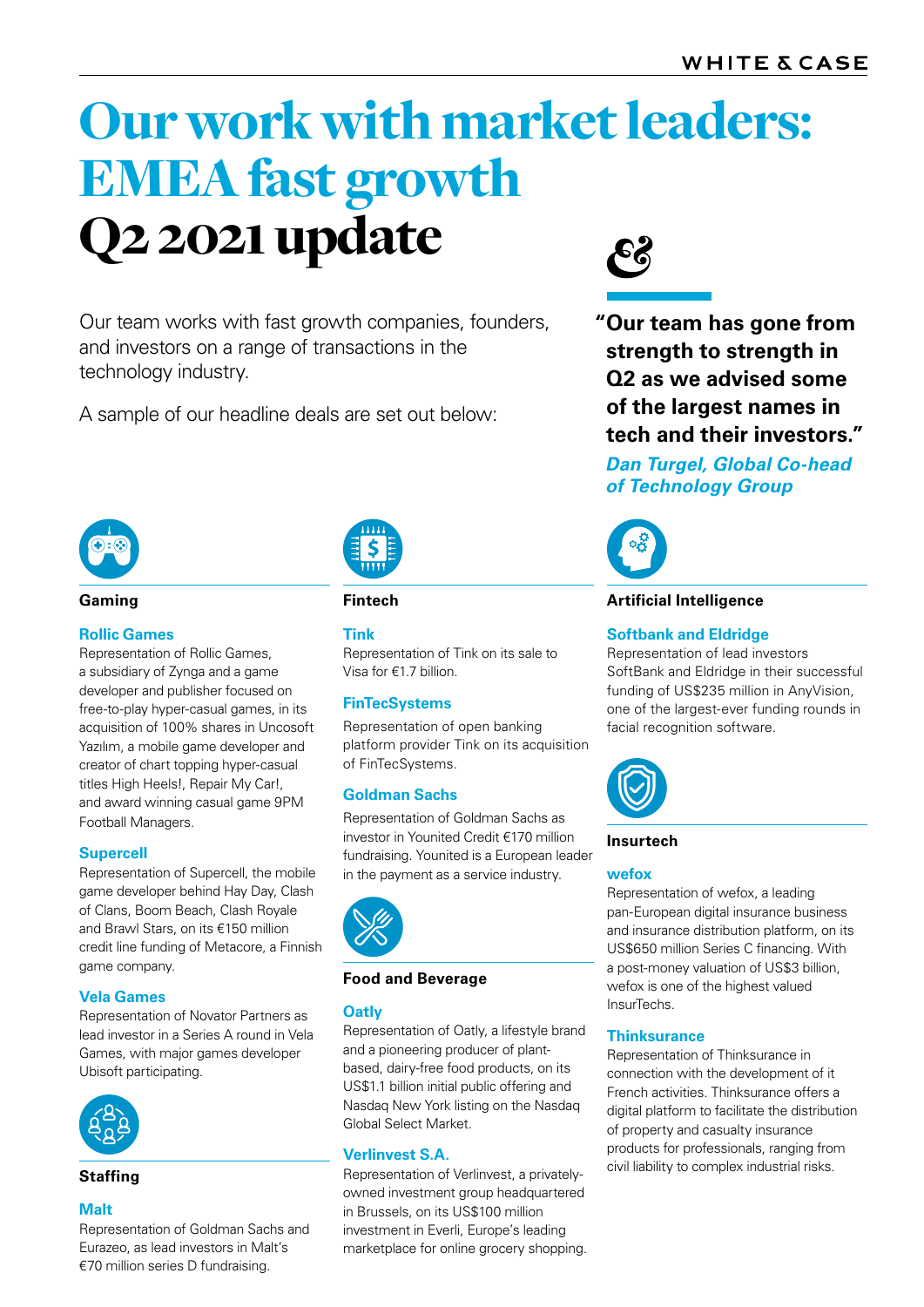# Our work with market leaders: EMEA fast growth Q2 2021 update **99**

Our team works with fast growth companies, founders, and investors on a range of transactions in the technology industry.

A sample of our headline deals are set out below:



#### **Gaming**

# **Rollic Games**

Representation of Rollic Games, a subsidiary of Zynga and a game developer and publisher focused on free-to-play hyper-casual games, in its acquisition of 100% shares in Uncosoft Yazılım, a mobile game developer and creator of chart topping hyper-casual titles High Heels!, Repair My Car!, and award winning casual game 9PM Football Managers.

# **Supercell**

Representation of Supercell, the mobile game developer behind Hay Day, Clash of Clans, Boom Beach, Clash Royale and Brawl Stars, on its €150 million credit line funding of Metacore, a Finnish game company.

# **Vela Games**

Representation of Novator Partners as lead investor in a Series A round in Vela Games, with major games developer Ubisoft participating.



#### **Malt**

Representation of Goldman Sachs and Eurazeo, as lead investors in Malt's €70 million series D fundraising.

| .      |  |
|--------|--|
| Ξ<br>Ξ |  |
|        |  |

#### **Fintech**

#### **Tink**

Representation of Tink on its sale to Visa for €1.7 billion.

# **FinTecSystems**

Representation of open banking platform provider Tink on its acquisition of FinTecSystems.

#### **Goldman Sachs**

Representation of Goldman Sachs as investor in Younited Credit €170 million fundraising. Younited is a European leader in the payment as a service industry.



### **Food and Beverage**

#### **Oatly**

Representation of Oatly, a lifestyle brand and a pioneering producer of plantbased, dairy-free food products, on its US\$1.1 billion initial public offering and Nasdaq New York listing on the Nasdaq Global Select Market.

#### **Verlinvest S.A.**

**Staffing Example 20 Conserverse Example 20 Temples in Staffing Staffing Staffing Staffing Examples** industrial risks. owned investment group headquartered in Brussels, on its US\$100 million investment in Everli, Europe's leading marketplace for online grocery shopping.



**"Our team has gone from strength to strength in Q2 as we advised some of the largest names in tech and their investors."**

*Dan Turgel, Global Co-head of Technology Group*



**Artificial Intelligence** 

#### **Softbank and Eldridge**

Representation of lead investors SoftBank and Eldridge in their successful funding of US\$235 million in AnyVision, one of the largest-ever funding rounds in facial recognition software.



#### **Insurtech**

#### **wefox**

Representation of wefox, a leading pan-European digital insurance business and insurance distribution platform, on its US\$650 million Series C financing. With a post-money valuation of US\$3 billion, wefox is one of the highest valued InsurTechs.

#### **Thinksurance**

Representation of Thinksurance in connection with the development of it French activities. Thinksurance offers a digital platform to facilitate the distribution of property and casualty insurance products for professionals, ranging from